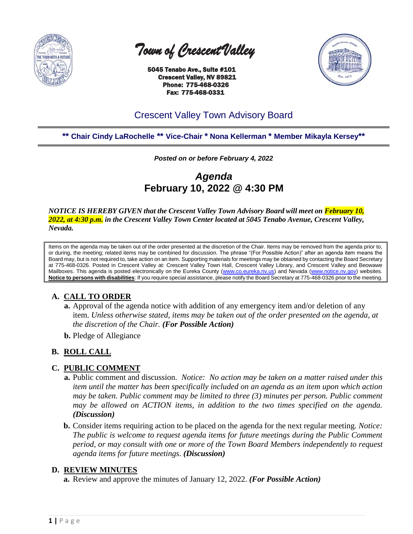

 *Town of Crescent Valley* 

 5045 Tenabo Ave., Suite #101 Crescent Valley, NV 89821 Phone: 775-468-0326 Fax: 775-468-0331



# Crescent Valley Town Advisory Board

# **\*\* Chair Cindy LaRochelle \*\* Vice-Chair \* Nona Kellerman \* Member Mikayla Kersey\*\***

*Posted on or before February 4, 2022*

*Agenda* **February 10, 2022 @ 4:30 PM**

*NOTICE IS HEREBY GIVEN that the Crescent Valley Town Advisory Board will meet on February 10, 2022, at 4:30 p.m. in the Crescent Valley Town Center located at 5045 Tenabo Avenue, Crescent Valley, Nevada.* 

Items on the agenda may be taken out of the order presented at the discretion of the Chair. Items may be removed from the agenda prior to, or during, the meeting; related items may be combined for discussion. The phrase "(For Possible Action)" after an agenda item means the Board may, but is not required to, take action on an item. Supporting materials for meetings may be obtained by contacting the Board Secretary at 775-468-0326. Posted in Crescent Valley at: Crescent Valley Town Hall, Crescent Valley Library, and Crescent Valley and Beowawe Mailboxes. This agenda is posted electronically on the Eureka County [\(www.co.eureka.nv.us\)](http://www.co.eureka.nv.us/) and Nevada [\(www.notice.nv.gov\)](http://www.notice.nv.gov/) websites. **Notice to persons with disabilities**: If you require special assistance, please notify the Board Secretary at 775-468-0326 prior to the meeting.

## **A. CALL TO ORDER**

- **a.** Approval of the agenda notice with addition of any emergency item and/or deletion of any item. *Unless otherwise stated, items may be taken out of the order presented on the agenda, at the discretion of the Chair. (For Possible Action)*
- **b.** Pledge of Allegiance

## **B. ROLL CALL**

#### **C. PUBLIC COMMENT**

- **a.** Public comment and discussion. *Notice: No action may be taken on a matter raised under this item until the matter has been specifically included on an agenda as an item upon which action may be taken. Public comment may be limited to three (3) minutes per person. Public comment may be allowed on ACTION items, in addition to the two times specified on the agenda. (Discussion)*
- **b.** Consider items requiring action to be placed on the agenda for the next regular meeting. *Notice: The public is welcome to request agenda items for future meetings during the Public Comment period, or may consult with one or more of the Town Board Members independently to request agenda items for future meetings. (Discussion)*

#### **D. REVIEW MINUTES**

**a.** Review and approve the minutes of January 12, 2022. *(For Possible Action)*